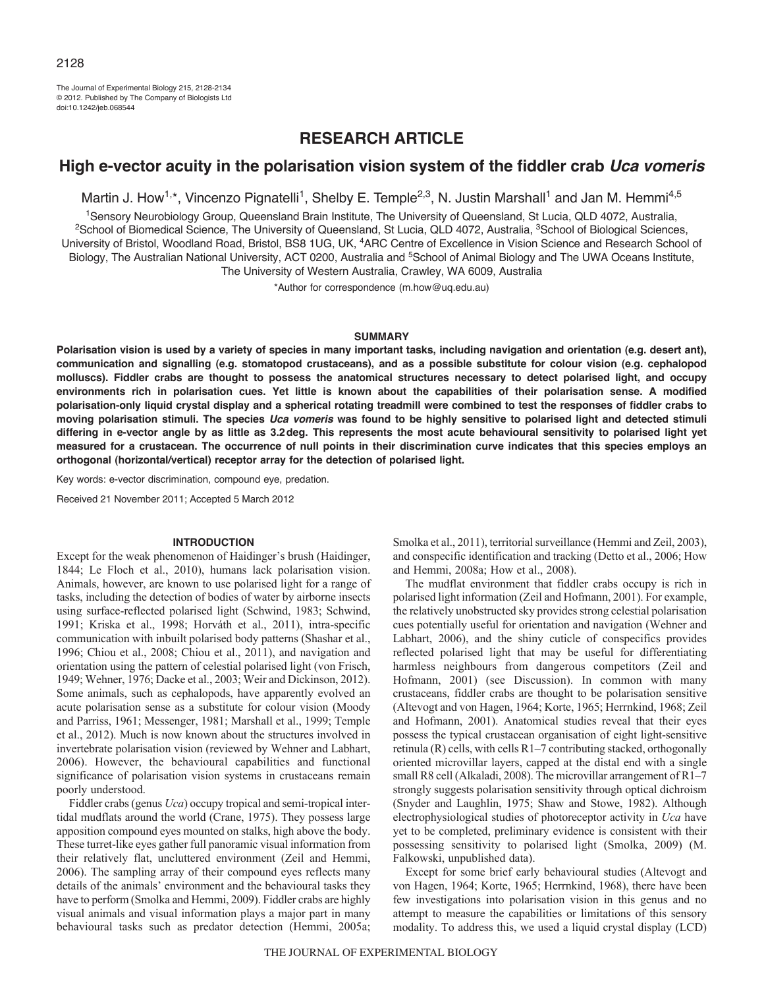The Journal of Experimental Biology 215, 2128-2134 © 2012. Published by The Company of Biologists Ltd doi:10.1242/jeb.068544

# **RESEARCH ARTICLE**

# **High e-vector acuity in the polarisation vision system of the fiddler crab** *Uca vomeris*

Martin J. How<sup>1,\*</sup>, Vincenzo Pignatelli<sup>1</sup>, Shelby E. Temple<sup>2,3</sup>, N. Justin Marshall<sup>1</sup> and Jan M. Hemmi<sup>4,5</sup>

<sup>1</sup>Sensory Neurobiology Group, Queensland Brain Institute, The University of Queensland, St Lucia, QLD 4072, Australia,<br><sup>2</sup>School of Biomedical Science, The University of Queensland, St Lucia, QLD 4072, Australia, <sup>3</sup>Schoo University of Bristol, Woodland Road, Bristol, BS8 1UG, UK, 4ARC Centre of Excellence in Vision Science and Research School of Biology, The Australian National University, ACT 0200, Australia and <sup>5</sup>School of Animal Biology and The UWA Oceans Institute, The University of Western Australia, Crawley, WA 6009, Australia

\*Author for correspondence (m.how@uq.edu.au)

## **SUMMARY**

**Polarisation vision is used by a variety of species in many important tasks, including navigation and orientation (e.g. desert ant), communication and signalling (e.g. stomatopod crustaceans), and as a possible substitute for colour vision (e.g. cephalopod molluscs). Fiddler crabs are thought to possess the anatomical structures necessary to detect polarised light, and occupy environments rich in polarisation cues. Yet little is known about the capabilities of their polarisation sense. A modified polarisation-only liquid crystal display and a spherical rotating treadmill were combined to test the responses of fiddler crabs to moving polarisation stimuli. The species** *Uca vomeris* **was found to be highly sensitive to polarised light and detected stimuli differing in e-vector angle by as little as 3.2deg. This represents the most acute behavioural sensitivity to polarised light yet measured for a crustacean. The occurrence of null points in their discrimination curve indicates that this species employs an orthogonal (horizontal/vertical) receptor array for the detection of polarised light.**

Key words: e-vector discrimination, compound eye, predation.

Received 21 November 2011; Accepted 5 March 2012

# **INTRODUCTION**

Except for the weak phenomenon of Haidinger's brush (Haidinger, 1844; Le Floch et al., 2010), humans lack polarisation vision. Animals, however, are known to use polarised light for a range of tasks, including the detection of bodies of water by airborne insects using surface-reflected polarised light (Schwind, 1983; Schwind, 1991; Kriska et al., 1998; Horváth et al., 2011), intra-specific communication with inbuilt polarised body patterns (Shashar et al., 1996; Chiou et al., 2008; Chiou et al., 2011), and navigation and orientation using the pattern of celestial polarised light (von Frisch, 1949; Wehner, 1976; Dacke et al., 2003; Weir and Dickinson, 2012). Some animals, such as cephalopods, have apparently evolved an acute polarisation sense as a substitute for colour vision (Moody and Parriss, 1961; Messenger, 1981; Marshall et al., 1999; Temple et al., 2012). Much is now known about the structures involved in invertebrate polarisation vision (reviewed by Wehner and Labhart, 2006). However, the behavioural capabilities and functional significance of polarisation vision systems in crustaceans remain poorly understood.

Fiddler crabs (genus *Uca*) occupy tropical and semi-tropical intertidal mudflats around the world (Crane, 1975). They possess large apposition compound eyes mounted on stalks, high above the body. These turret-like eyes gather full panoramic visual information from their relatively flat, uncluttered environment (Zeil and Hemmi, 2006). The sampling array of their compound eyes reflects many details of the animals' environment and the behavioural tasks they have to perform (Smolka and Hemmi, 2009). Fiddler crabs are highly visual animals and visual information plays a major part in many behavioural tasks such as predator detection (Hemmi, 2005a; Smolka et al., 2011), territorial surveillance (Hemmi and Zeil, 2003), and conspecific identification and tracking (Detto et al., 2006; How and Hemmi, 2008a; How et al., 2008).

The mudflat environment that fiddler crabs occupy is rich in polarised light information (Zeil and Hofmann, 2001). For example, the relatively unobstructed sky provides strong celestial polarisation cues potentially useful for orientation and navigation (Wehner and Labhart, 2006), and the shiny cuticle of conspecifics provides reflected polarised light that may be useful for differentiating harmless neighbours from dangerous competitors (Zeil and Hofmann, 2001) (see Discussion). In common with many crustaceans, fiddler crabs are thought to be polarisation sensitive (Altevogt and von Hagen, 1964; Korte, 1965; Herrnkind, 1968; Zeil and Hofmann, 2001). Anatomical studies reveal that their eyes possess the typical crustacean organisation of eight light-sensitive retinula (R) cells, with cells R1–7 contributing stacked, orthogonally oriented microvillar layers, capped at the distal end with a single small R8 cell (Alkaladi, 2008). The microvillar arrangement of R1–7 strongly suggests polarisation sensitivity through optical dichroism (Snyder and Laughlin, 1975; Shaw and Stowe, 1982). Although electrophysiological studies of photoreceptor activity in *Uca* have yet to be completed, preliminary evidence is consistent with their possessing sensitivity to polarised light (Smolka, 2009) (M. Falkowski, unpublished data).

Except for some brief early behavioural studies (Altevogt and von Hagen, 1964; Korte, 1965; Herrnkind, 1968), there have been few investigations into polarisation vision in this genus and no attempt to measure the capabilities or limitations of this sensory modality. To address this, we used a liquid crystal display (LCD)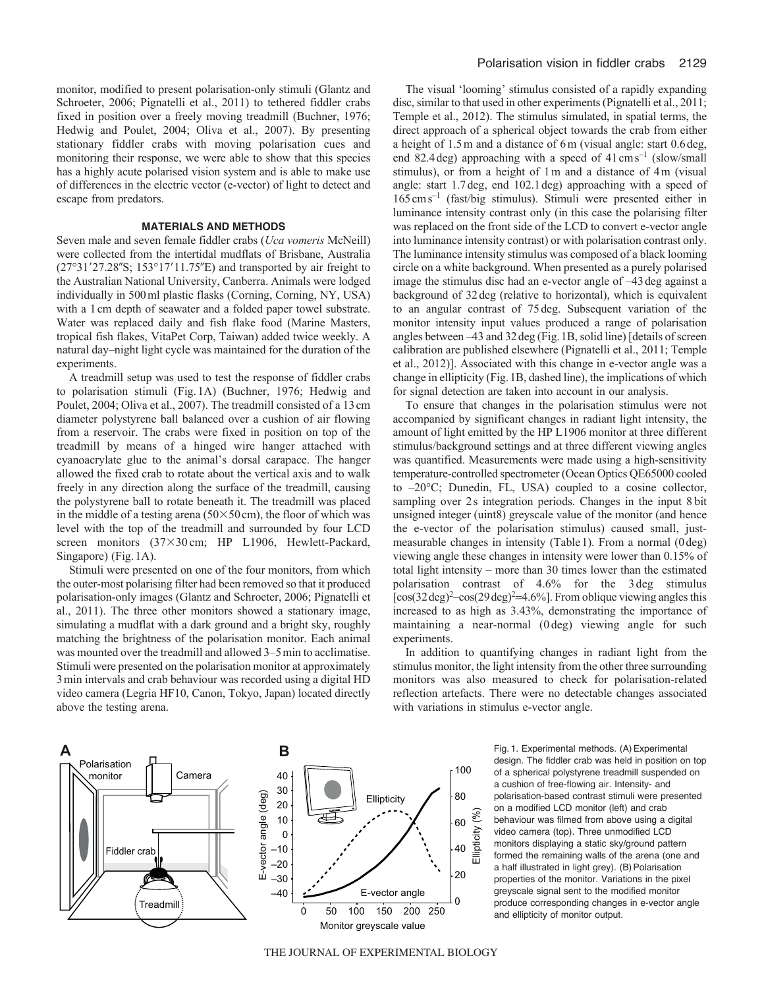monitor, modified to present polarisation-only stimuli (Glantz and Schroeter, 2006; Pignatelli et al., 2011) to tethered fiddler crabs fixed in position over a freely moving treadmill (Buchner, 1976; Hedwig and Poulet, 2004; Oliva et al., 2007). By presenting stationary fiddler crabs with moving polarisation cues and monitoring their response, we were able to show that this species has a highly acute polarised vision system and is able to make use of differences in the electric vector (e-vector) of light to detect and escape from predators.

### **MATERIALS AND METHODS**

Seven male and seven female fiddler crabs (*Uca vomeris* McNeill) were collected from the intertidal mudflats of Brisbane, Australia (27°31'27.28"S; 153°17'11.75"E) and transported by air freight to the Australian National University, Canberra. Animals were lodged individually in 500ml plastic flasks (Corning, Corning, NY, USA) with a 1cm depth of seawater and a folded paper towel substrate. Water was replaced daily and fish flake food (Marine Masters, tropical fish flakes, VitaPet Corp, Taiwan) added twice weekly. A natural day–night light cycle was maintained for the duration of the experiments.

A treadmill setup was used to test the response of fiddler crabs to polarisation stimuli (Fig. 1A) (Buchner, 1976; Hedwig and Poulet, 2004; Oliva et al., 2007). The treadmill consisted of a 13cm diameter polystyrene ball balanced over a cushion of air flowing from a reservoir. The crabs were fixed in position on top of the treadmill by means of a hinged wire hanger attached with cyanoacrylate glue to the animal's dorsal carapace. The hanger allowed the fixed crab to rotate about the vertical axis and to walk freely in any direction along the surface of the treadmill, causing the polystyrene ball to rotate beneath it. The treadmill was placed in the middle of a testing arena ( $50\times50$  cm), the floor of which was level with the top of the treadmill and surrounded by four LCD screen monitors (37×30 cm; HP L1906, Hewlett-Packard, Singapore) (Fig.1A).

Stimuli were presented on one of the four monitors, from which the outer-most polarising filter had been removed so that it produced polarisation-only images (Glantz and Schroeter, 2006; Pignatelli et al., 2011). The three other monitors showed a stationary image, simulating a mudflat with a dark ground and a bright sky, roughly matching the brightness of the polarisation monitor. Each animal was mounted over the treadmill and allowed 3–5min to acclimatise. Stimuli were presented on the polarisation monitor at approximately 3min intervals and crab behaviour was recorded using a digital HD video camera (Legria HF10, Canon, Tokyo, Japan) located directly above the testing arena.

The visual 'looming' stimulus consisted of a rapidly expanding disc, similar to that used in other experiments (Pignatelli et al., 2011; Temple et al., 2012). The stimulus simulated, in spatial terms, the direct approach of a spherical object towards the crab from either a height of 1.5m and a distance of 6m (visual angle: start 0.6deg, end 82.4 deg) approaching with a speed of  $41 \text{ cm s}^{-1}$  (slow/small stimulus), or from a height of 1m and a distance of 4m (visual angle: start 1.7deg, end 102.1deg) approaching with a speed of 165cms–1 (fast/big stimulus). Stimuli were presented either in luminance intensity contrast only (in this case the polarising filter was replaced on the front side of the LCD to convert e-vector angle into luminance intensity contrast) or with polarisation contrast only. The luminance intensity stimulus was composed of a black looming circle on a white background. When presented as a purely polarised image the stimulus disc had an e-vector angle of –43deg against a background of 32deg (relative to horizontal), which is equivalent to an angular contrast of 75deg. Subsequent variation of the monitor intensity input values produced a range of polarisation angles between –43 and 32deg (Fig.1B, solid line) [details of screen calibration are published elsewhere (Pignatelli et al., 2011; Temple et al., 2012)]. Associated with this change in e-vector angle was a change in ellipticity (Fig.1B, dashed line), the implications of which for signal detection are taken into account in our analysis.

To ensure that changes in the polarisation stimulus were not accompanied by significant changes in radiant light intensity, the amount of light emitted by the HP L1906 monitor at three different stimulus/background settings and at three different viewing angles was quantified. Measurements were made using a high-sensitivity temperature-controlled spectrometer (Ocean Optics QE65000 cooled to –20°C; Dunedin, FL, USA) coupled to a cosine collector, sampling over 2s integration periods. Changes in the input 8 bit unsigned integer (uint8) greyscale value of the monitor (and hence the e-vector of the polarisation stimulus) caused small, justmeasurable changes in intensity (Table1). From a normal (0deg) viewing angle these changes in intensity were lower than 0.15% of total light intensity – more than 30 times lower than the estimated polarisation contrast of 4.6% for the 3 deg stimulus [ $\cos(32 \text{ deg})^2 - \cos(29 \text{ deg})^2 = 4.6\%$ ]. From oblique viewing angles this increased to as high as 3.43%, demonstrating the importance of maintaining a near-normal (0 deg) viewing angle for such experiments.

In addition to quantifying changes in radiant light from the stimulus monitor, the light intensity from the other three surrounding monitors was also measured to check for polarisation-related reflection artefacts. There were no detectable changes associated with variations in stimulus e-vector angle.



Fig. 1. Experimental methods. (A)Experimental design. The fiddler crab was held in position on top of a spherical polystyrene treadmill suspended on a cushion of free-flowing air. Intensity- and polarisation-based contrast stimuli were presented on a modified LCD monitor (left) and crab behaviour was filmed from above using a digital video camera (top). Three unmodified LCD monitors displaying a static sky/ground pattern formed the remaining walls of the arena (one and a half illustrated in light grey). (B) Polarisation properties of the monitor. Variations in the pixel greyscale signal sent to the modified monitor produce corresponding changes in e-vector angle and ellipticity of monitor output.

THE JOURNAL OF EXPERIMENTAL BIOLOGY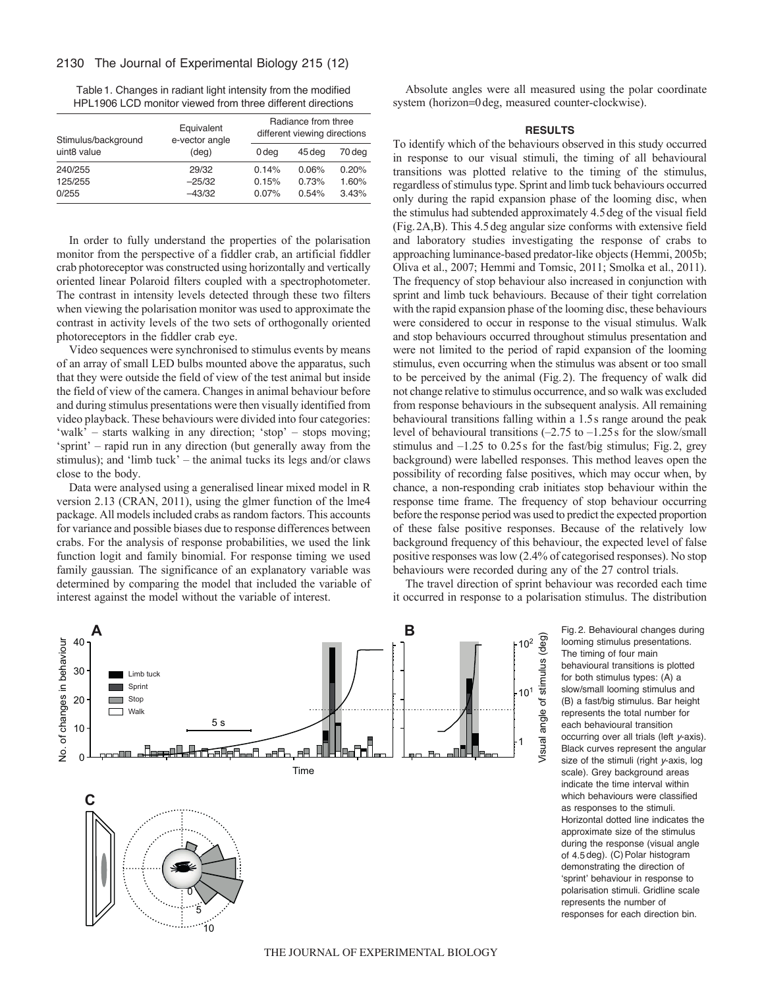Table1. Changes in radiant light intensity from the modified HPL1906 LCD monitor viewed from three different directions

| Stimulus/background<br>uint8 value | Equivalent<br>e-vector angle<br>(deg) | Radiance from three<br>different viewing directions |        |        |
|------------------------------------|---------------------------------------|-----------------------------------------------------|--------|--------|
|                                    |                                       | 0 deg                                               | 45 dea | 70 deg |
| 240/255                            | 29/32                                 | 0.14%                                               | 0.06%  | 0.20%  |
| 125/255                            | $-25/32$                              | 0.15%                                               | 0.73%  | 1.60%  |
| 0/255                              | $-43/32$                              | 0.07%                                               | 0.54%  | 3.43%  |

In order to fully understand the properties of the polarisation monitor from the perspective of a fiddler crab, an artificial fiddler crab photoreceptor was constructed using horizontally and vertically oriented linear Polaroid filters coupled with a spectrophotometer. The contrast in intensity levels detected through these two filters when viewing the polarisation monitor was used to approximate the contrast in activity levels of the two sets of orthogonally oriented photoreceptors in the fiddler crab eye.

Video sequences were synchronised to stimulus events by means of an array of small LED bulbs mounted above the apparatus, such that they were outside the field of view of the test animal but inside the field of view of the camera. Changes in animal behaviour before and during stimulus presentations were then visually identified from video playback. These behaviours were divided into four categories: 'walk' – starts walking in any direction; 'stop' – stops moving; 'sprint' – rapid run in any direction (but generally away from the stimulus); and 'limb tuck' – the animal tucks its legs and/or claws close to the body.

Data were analysed using a generalised linear mixed model in R version 2.13 (CRAN, 2011), using the glmer function of the lme4 package. All models included crabs as random factors. This accounts for variance and possible biases due to response differences between crabs. For the analysis of response probabilities, we used the link function logit and family binomial. For response timing we used family gaussian*.* The significance of an explanatory variable was determined by comparing the model that included the variable of interest against the model without the variable of interest.

Absolute angles were all measured using the polar coordinate system (horizon=0 deg, measured counter-clockwise).

#### **RESULTS**

To identify which of the behaviours observed in this study occurred in response to our visual stimuli, the timing of all behavioural transitions was plotted relative to the timing of the stimulus, regardless of stimulus type. Sprint and limb tuck behaviours occurred only during the rapid expansion phase of the looming disc, when the stimulus had subtended approximately 4.5deg of the visual field (Fig.2A,B). This 4.5deg angular size conforms with extensive field and laboratory studies investigating the response of crabs to approaching luminance-based predator-like objects (Hemmi, 2005b; Oliva et al., 2007; Hemmi and Tomsic, 2011; Smolka et al., 2011). The frequency of stop behaviour also increased in conjunction with sprint and limb tuck behaviours. Because of their tight correlation with the rapid expansion phase of the looming disc, these behaviours were considered to occur in response to the visual stimulus. Walk and stop behaviours occurred throughout stimulus presentation and were not limited to the period of rapid expansion of the looming stimulus, even occurring when the stimulus was absent or too small to be perceived by the animal (Fig.2). The frequency of walk did not change relative to stimulus occurrence, and so walk was excluded from response behaviours in the subsequent analysis. All remaining behavioural transitions falling within a 1.5s range around the peak level of behavioural transitions (–2.75 to –1.25s for the slow/small stimulus and –1.25 to 0.25s for the fast/big stimulus; Fig.2, grey background) were labelled responses. This method leaves open the possibility of recording false positives, which may occur when, by chance, a non-responding crab initiates stop behaviour within the response time frame. The frequency of stop behaviour occurring before the response period was used to predict the expected proportion of these false positive responses. Because of the relatively low background frequency of this behaviour, the expected level of false positive responses was low (2.4% of categorised responses). No stop behaviours were recorded during any of the 27 control trials.

The travel direction of sprint behaviour was recorded each time it occurred in response to a polarisation stimulus. The distribution



Fig. 2. Behavioural changes during looming stimulus presentations. The timing of four main behavioural transitions is plotted for both stimulus types: (A) a slow/small looming stimulus and (B) a fast/big stimulus. Bar height represents the total number for each behavioural transition occurring over all trials (left *y*-axis). Black curves represent the angular size of the stimuli (right *y*-axis, log scale). Grey background areas indicate the time interval within which behaviours were classified as responses to the stimuli. Horizontal dotted line indicates the approximate size of the stimulus during the response (visual angle of 4.5 deg). (C) Polar histogram demonstrating the direction of ʻsprint' behaviour in response to polarisation stimuli. Gridline scale represents the number of responses for each direction bin.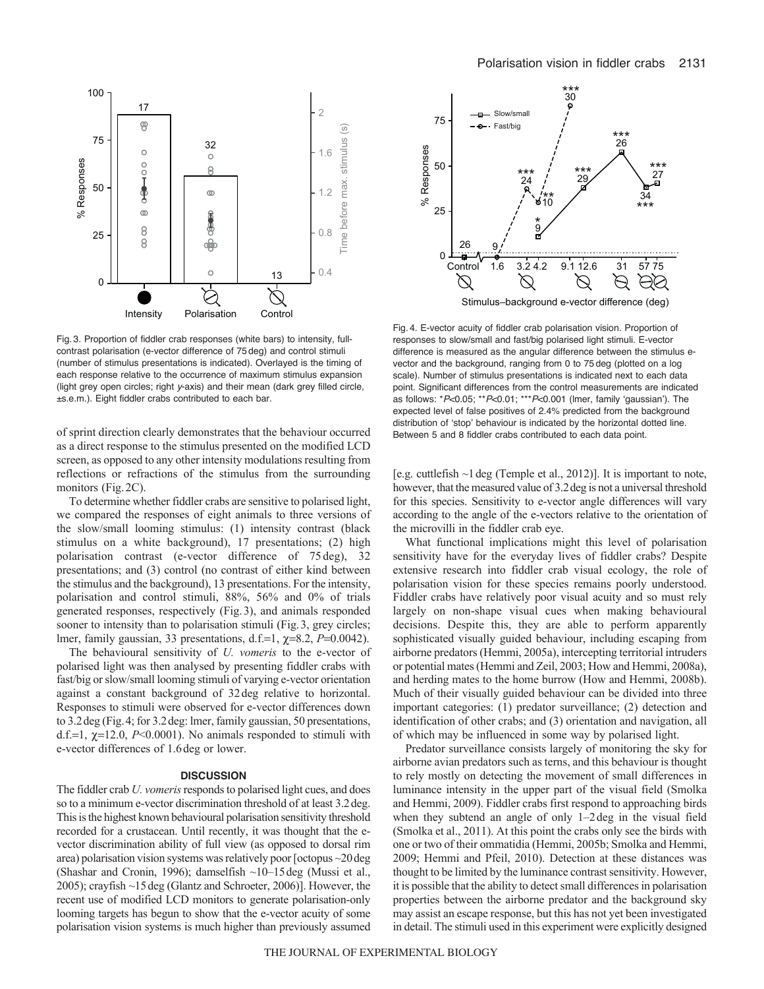

Fig. 3. Proportion of fiddler crab responses (white bars) to intensity, fullcontrast polarisation (e-vector difference of 75 deg) and control stimuli (number of stimulus presentations is indicated). Overlayed is the timing of each response relative to the occurrence of maximum stimulus expansion (light grey open circles; right *y*-axis) and their mean (dark grey filled circle, ±s.e.m.). Eight fiddler crabs contributed to each bar.

of sprint direction clearly demonstrates that the behaviour occurred as a direct response to the stimulus presented on the modified LCD screen, as opposed to any other intensity modulations resulting from reflections or refractions of the stimulus from the surrounding monitors (Fig.2C).

To determine whether fiddler crabs are sensitive to polarised light, we compared the responses of eight animals to three versions of the slow/small looming stimulus: (1) intensity contrast (black stimulus on a white background), 17 presentations; (2) high polarisation contrast (e-vector difference of 75 deg), 32 presentations; and (3) control (no contrast of either kind between the stimulus and the background), 13 presentations. For the intensity, polarisation and control stimuli, 88%, 56% and 0% of trials generated responses, respectively (Fig.3), and animals responded sooner to intensity than to polarisation stimuli (Fig. 3, grey circles; lmer, family gaussian, 33 presentations, d.f.=1,  $\chi$ =8.2, *P*=0.0042).

The behavioural sensitivity of *U. vomeris* to the e-vector of polarised light was then analysed by presenting fiddler crabs with fast/big or slow/small looming stimuli of varying e-vector orientation against a constant background of 32deg relative to horizontal. Responses to stimuli were observed for e-vector differences down to 3.2deg (Fig.4; for 3.2deg: lmer, family gaussian, 50 presentations, d.f.=1,  $\chi$ =12.0, *P*<0.0001). No animals responded to stimuli with e-vector differences of 1.6deg or lower.

## **DISCUSSION**

The fiddler crab *U. vomeris* responds to polarised light cues, and does so to a minimum e-vector discrimination threshold of at least 3.2deg. This is the highest known behavioural polarisation sensitivity threshold recorded for a crustacean. Until recently, it was thought that the evector discrimination ability of full view (as opposed to dorsal rim area) polarisation vision systems was relatively poor [octopus ~20deg (Shashar and Cronin, 1996); damselfish ~10–15deg (Mussi et al., 2005); crayfish ~15deg (Glantz and Schroeter, 2006)]. However, the recent use of modified LCD monitors to generate polarisation-only looming targets has begun to show that the e-vector acuity of some polarisation vision systems is much higher than previously assumed



Stimulus–background e-vector difference (deg)

Fig. 4. E-vector acuity of fiddler crab polarisation vision. Proportion of responses to slow/small and fast/big polarised light stimuli. E-vector difference is measured as the angular difference between the stimulus evector and the background, ranging from 0 to 75 deg (plotted on a log scale). Number of stimulus presentations is indicated next to each data point. Significant differences from the control measurements are indicated as follows: \**P*<0.05; \*\**P*<0.01; \*\*\**P*<0.001 (lmer, family ʻgaussian'). The expected level of false positives of 2.4% predicted from the background distribution of ʻstop' behaviour is indicated by the horizontal dotted line. Between 5 and 8 fiddler crabs contributed to each data point.

[e.g. cuttlefish  $\sim$ 1 deg (Temple et al., 2012)]. It is important to note, however, that the measured value of 3.2deg is not a universal threshold for this species. Sensitivity to e-vector angle differences will vary according to the angle of the e-vectors relative to the orientation of the microvilli in the fiddler crab eye.

What functional implications might this level of polarisation sensitivity have for the everyday lives of fiddler crabs? Despite extensive research into fiddler crab visual ecology, the role of polarisation vision for these species remains poorly understood. Fiddler crabs have relatively poor visual acuity and so must rely largely on non-shape visual cues when making behavioural decisions. Despite this, they are able to perform apparently sophisticated visually guided behaviour, including escaping from airborne predators (Hemmi, 2005a), intercepting territorial intruders or potential mates (Hemmi and Zeil, 2003; How and Hemmi, 2008a), and herding mates to the home burrow (How and Hemmi, 2008b). Much of their visually guided behaviour can be divided into three important categories: (1) predator surveillance; (2) detection and identification of other crabs; and (3) orientation and navigation, all of which may be influenced in some way by polarised light.

Predator surveillance consists largely of monitoring the sky for airborne avian predators such as terns, and this behaviour is thought to rely mostly on detecting the movement of small differences in luminance intensity in the upper part of the visual field (Smolka and Hemmi, 2009). Fiddler crabs first respond to approaching birds when they subtend an angle of only 1–2deg in the visual field (Smolka et al., 2011). At this point the crabs only see the birds with one or two of their ommatidia (Hemmi, 2005b; Smolka and Hemmi, 2009; Hemmi and Pfeil, 2010). Detection at these distances was thought to be limited by the luminance contrast sensitivity. However, it is possible that the ability to detect small differences in polarisation properties between the airborne predator and the background sky may assist an escape response, but this has not yet been investigated in detail. The stimuli used in this experiment were explicitly designed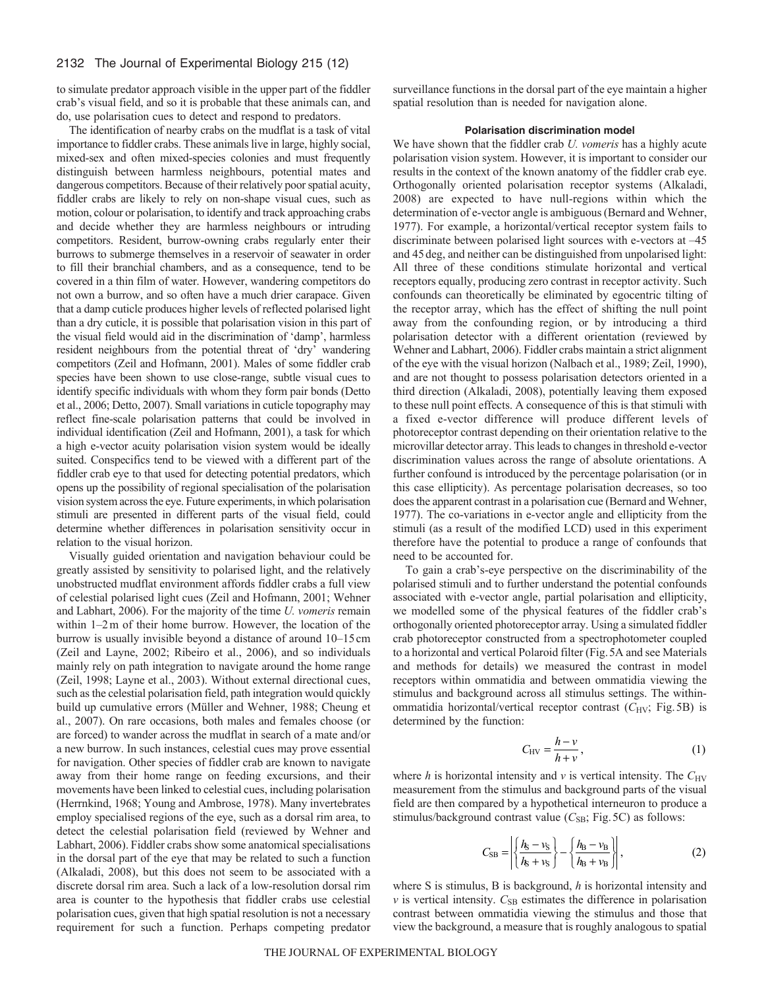to simulate predator approach visible in the upper part of the fiddler crab's visual field, and so it is probable that these animals can, and do, use polarisation cues to detect and respond to predators.

The identification of nearby crabs on the mudflat is a task of vital importance to fiddler crabs. These animals live in large, highly social, mixed-sex and often mixed-species colonies and must frequently distinguish between harmless neighbours, potential mates and dangerous competitors. Because of their relatively poor spatial acuity, fiddler crabs are likely to rely on non-shape visual cues, such as motion, colour or polarisation, to identify and track approaching crabs and decide whether they are harmless neighbours or intruding competitors. Resident, burrow-owning crabs regularly enter their burrows to submerge themselves in a reservoir of seawater in order to fill their branchial chambers, and as a consequence, tend to be covered in a thin film of water. However, wandering competitors do not own a burrow, and so often have a much drier carapace. Given that a damp cuticle produces higher levels of reflected polarised light than a dry cuticle, it is possible that polarisation vision in this part of the visual field would aid in the discrimination of 'damp', harmless resident neighbours from the potential threat of 'dry' wandering competitors (Zeil and Hofmann, 2001). Males of some fiddler crab species have been shown to use close-range, subtle visual cues to identify specific individuals with whom they form pair bonds (Detto et al., 2006; Detto, 2007). Small variations in cuticle topography may reflect fine-scale polarisation patterns that could be involved in individual identification (Zeil and Hofmann, 2001), a task for which a high e-vector acuity polarisation vision system would be ideally suited. Conspecifics tend to be viewed with a different part of the fiddler crab eye to that used for detecting potential predators, which opens up the possibility of regional specialisation of the polarisation vision system across the eye. Future experiments, in which polarisation stimuli are presented in different parts of the visual field, could determine whether differences in polarisation sensitivity occur in relation to the visual horizon.

Visually guided orientation and navigation behaviour could be greatly assisted by sensitivity to polarised light, and the relatively unobstructed mudflat environment affords fiddler crabs a full view of celestial polarised light cues (Zeil and Hofmann, 2001; Wehner and Labhart, 2006). For the majority of the time *U. vomeris* remain within 1–2m of their home burrow. However, the location of the burrow is usually invisible beyond a distance of around 10–15cm (Zeil and Layne, 2002; Ribeiro et al., 2006), and so individuals mainly rely on path integration to navigate around the home range (Zeil, 1998; Layne et al., 2003). Without external directional cues, such as the celestial polarisation field, path integration would quickly build up cumulative errors (Müller and Wehner, 1988; Cheung et al., 2007). On rare occasions, both males and females choose (or are forced) to wander across the mudflat in search of a mate and/or a new burrow. In such instances, celestial cues may prove essential for navigation. Other species of fiddler crab are known to navigate away from their home range on feeding excursions, and their movements have been linked to celestial cues, including polarisation (Herrnkind, 1968; Young and Ambrose, 1978). Many invertebrates employ specialised regions of the eye, such as a dorsal rim area, to detect the celestial polarisation field (reviewed by Wehner and Labhart, 2006). Fiddler crabs show some anatomical specialisations in the dorsal part of the eye that may be related to such a function (Alkaladi, 2008), but this does not seem to be associated with a discrete dorsal rim area. Such a lack of a low-resolution dorsal rim area is counter to the hypothesis that fiddler crabs use celestial polarisation cues, given that high spatial resolution is not a necessary requirement for such a function. Perhaps competing predator surveillance functions in the dorsal part of the eye maintain a higher spatial resolution than is needed for navigation alone.

## **Polarisation discrimination model**

We have shown that the fiddler crab *U. vomeris* has a highly acute polarisation vision system. However, it is important to consider our results in the context of the known anatomy of the fiddler crab eye. Orthogonally oriented polarisation receptor systems (Alkaladi, 2008) are expected to have null-regions within which the determination of e-vector angle is ambiguous (Bernard and Wehner, 1977). For example, a horizontal/vertical receptor system fails to discriminate between polarised light sources with e-vectors at –45 and 45deg, and neither can be distinguished from unpolarised light: All three of these conditions stimulate horizontal and vertical receptors equally, producing zero contrast in receptor activity. Such confounds can theoretically be eliminated by egocentric tilting of the receptor array, which has the effect of shifting the null point away from the confounding region, or by introducing a third polarisation detector with a different orientation (reviewed by Wehner and Labhart, 2006). Fiddler crabs maintain a strict alignment of the eye with the visual horizon (Nalbach et al., 1989; Zeil, 1990), and are not thought to possess polarisation detectors oriented in a third direction (Alkaladi, 2008), potentially leaving them exposed to these null point effects. A consequence of this is that stimuli with a fixed e-vector difference will produce different levels of photoreceptor contrast depending on their orientation relative to the microvillar detector array. This leads to changes in threshold e-vector discrimination values across the range of absolute orientations. A further confound is introduced by the percentage polarisation (or in this case ellipticity). As percentage polarisation decreases, so too does the apparent contrast in a polarisation cue (Bernard and Wehner, 1977). The co-variations in e-vector angle and ellipticity from the stimuli (as a result of the modified LCD) used in this experiment therefore have the potential to produce a range of confounds that need to be accounted for.

To gain a crab's-eye perspective on the discriminability of the polarised stimuli and to further understand the potential confounds associated with e-vector angle, partial polarisation and ellipticity, we modelled some of the physical features of the fiddler crab's orthogonally oriented photoreceptor array. Using a simulated fiddler crab photoreceptor constructed from a spectrophotometer coupled to a horizontal and vertical Polaroid filter (Fig.5A and see Materials and methods for details) we measured the contrast in model receptors within ommatidia and between ommatidia viewing the stimulus and background across all stimulus settings. The withinommatidia horizontal/vertical receptor contrast ( $C_{\text{HV}}$ ; Fig.5B) is determined by the function:

$$
C_{\rm HV} = \frac{h - v}{h + v},\tag{1}
$$

where *h* is horizontal intensity and *v* is vertical intensity. The  $C_{\text{HV}}$ measurement from the stimulus and background parts of the visual field are then compared by a hypothetical interneuron to produce a stimulus/background contrast value (C<sub>SB</sub>; Fig.5C) as follows:

$$
C_{\rm SB} = \left| \left\{ \frac{h_{\rm s} - v_{\rm s}}{h_{\rm s} + v_{\rm s}} \right\} - \left\{ \frac{h_{\rm B} - v_{\rm B}}{h_{\rm B} + v_{\rm B}} \right\} \right|, \tag{2}
$$

where S is stimulus, B is background, *h* is horizontal intensity and  $\nu$  is vertical intensity.  $C_{SB}$  estimates the difference in polarisation contrast between ommatidia viewing the stimulus and those that view the background, a measure that is roughly analogous to spatial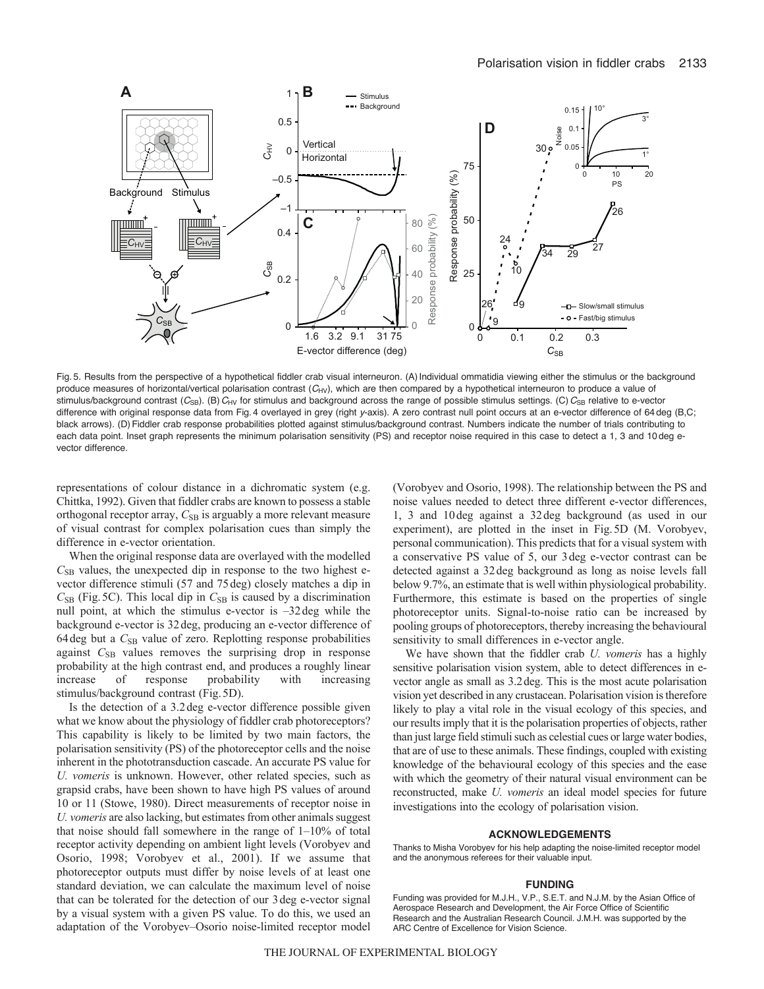

Fig. 5. Results from the perspective of a hypothetical fiddler crab visual interneuron. (A) Individual ommatidia viewing either the stimulus or the background produce measures of horizontal/vertical polarisation contrast (C<sub>HV</sub>), which are then compared by a hypothetical interneuron to produce a value of stimulus/background contrast (C<sub>SB</sub>). (B) C<sub>HV</sub> for stimulus and background across the range of possible stimulus settings. (C) C<sub>SB</sub> relative to e-vector difference with original response data from Fig. 4 overlayed in grey (right *y*-axis). A zero contrast null point occurs at an e-vector difference of 64 deg (B,C; black arrows). (D)Fiddler crab response probabilities plotted against stimulus/background contrast. Numbers indicate the number of trials contributing to each data point. Inset graph represents the minimum polarisation sensitivity (PS) and receptor noise required in this case to detect a 1, 3 and 10 deg evector difference.

representations of colour distance in a dichromatic system (e.g. Chittka, 1992). Given that fiddler crabs are known to possess a stable orthogonal receptor array,  $C_{SB}$  is arguably a more relevant measure of visual contrast for complex polarisation cues than simply the difference in e-vector orientation.

When the original response data are overlayed with the modelled  $C_{SB}$  values, the unexpected dip in response to the two highest evector difference stimuli (57 and 75deg) closely matches a dip in  $C_{SB}$  (Fig. 5C). This local dip in  $C_{SB}$  is caused by a discrimination null point, at which the stimulus e-vector is –32deg while the background e-vector is 32deg, producing an e-vector difference of 64 deg but a  $C_{SB}$  value of zero. Replotting response probabilities against C<sub>SB</sub> values removes the surprising drop in response probability at the high contrast end, and produces a roughly linear increase of response probability with increasing stimulus/background contrast (Fig.5D).

Is the detection of a 3.2deg e-vector difference possible given what we know about the physiology of fiddler crab photoreceptors? This capability is likely to be limited by two main factors, the polarisation sensitivity (PS) of the photoreceptor cells and the noise inherent in the phototransduction cascade. An accurate PS value for *U. vomeris* is unknown. However, other related species, such as grapsid crabs, have been shown to have high PS values of around 10 or 11 (Stowe, 1980). Direct measurements of receptor noise in *U. vomeris* are also lacking, but estimates from other animals suggest that noise should fall somewhere in the range of 1–10% of total receptor activity depending on ambient light levels (Vorobyev and Osorio, 1998; Vorobyev et al., 2001). If we assume that photoreceptor outputs must differ by noise levels of at least one standard deviation, we can calculate the maximum level of noise that can be tolerated for the detection of our 3deg e-vector signal by a visual system with a given PS value. To do this, we used an adaptation of the Vorobyev–Osorio noise-limited receptor model (Vorobyev and Osorio, 1998). The relationship between the PS and noise values needed to detect three different e-vector differences, 1, 3 and 10deg against a 32deg background (as used in our experiment), are plotted in the inset in Fig.5D (M. Vorobyev, personal communication). This predicts that for a visual system with a conservative PS value of 5, our 3deg e-vector contrast can be detected against a 32deg background as long as noise levels fall below 9.7%, an estimate that is well within physiological probability. Furthermore, this estimate is based on the properties of single photoreceptor units. Signal-to-noise ratio can be increased by pooling groups of photoreceptors, thereby increasing the behavioural sensitivity to small differences in e-vector angle.

We have shown that the fiddler crab *U. vomeris* has a highly sensitive polarisation vision system, able to detect differences in evector angle as small as 3.2deg. This is the most acute polarisation vision yet described in any crustacean. Polarisation vision is therefore likely to play a vital role in the visual ecology of this species, and our results imply that it is the polarisation properties of objects, rather than just large field stimuli such as celestial cues or large water bodies, that are of use to these animals. These findings, coupled with existing knowledge of the behavioural ecology of this species and the ease with which the geometry of their natural visual environment can be reconstructed, make *U. vomeris* an ideal model species for future investigations into the ecology of polarisation vision.

### **ACKNOWLEDGEMENTS**

Thanks to Misha Vorobyev for his help adapting the noise-limited receptor model and the anonymous referees for their valuable input.

#### **FUNDING**

Funding was provided for M.J.H., V.P., S.E.T. and N.J.M. by the Asian Office of Aerospace Research and Development, the Air Force Office of Scientific Research and the Australian Research Council. J.M.H. was supported by the ARC Centre of Excellence for Vision Science.